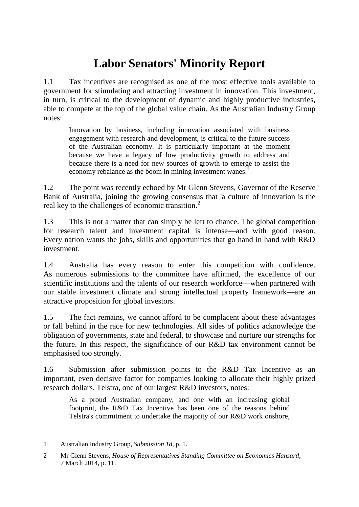## **Labor Senators' Minority Report**

1.1 Tax incentives are recognised as one of the most effective tools available to government for stimulating and attracting investment in innovation. This investment, in turn, is critical to the development of dynamic and highly productive industries, able to compete at the top of the global value chain. As the Australian Industry Group notes:

Innovation by business, including innovation associated with business engagement with research and development, is critical to the future success of the Australian economy. It is particularly important at the moment because we have a legacy of low productivity growth to address and because there is a need for new sources of growth to emerge to assist the economy rebalance as the boom in mining investment wanes.<sup>1</sup>

1.2 The point was recently echoed by Mr Glenn Stevens, Governor of the Reserve Bank of Australia, joining the growing consensus that 'a culture of innovation is the real key to the challenges of economic transition. 2

1.3 This is not a matter that can simply be left to chance. The global competition for research talent and investment capital is intense—and with good reason. Every nation wants the jobs, skills and opportunities that go hand in hand with R&D investment.

1.4 Australia has every reason to enter this competition with confidence. As numerous submissions to the committee have affirmed, the excellence of our scientific institutions and the talents of our research workforce—when partnered with our stable investment climate and strong intellectual property framework—are an attractive proposition for global investors.

1.5 The fact remains, we cannot afford to be complacent about these advantages or fall behind in the race for new technologies. All sides of politics acknowledge the obligation of governments, state and federal, to showcase and nurture our strengths for the future. In this respect, the significance of our R&D tax environment cannot be emphasised too strongly.

1.6 Submission after submission points to the R&D Tax Incentive as an important, even decisive factor for companies looking to allocate their highly prized research dollars. Telstra, one of our largest R&D investors, notes:

As a proud Australian company, and one with an increasing global footprint, the R&D Tax Incentive has been one of the reasons behind Telstra's commitment to undertake the majority of our R&D work onshore,

<sup>1</sup> Australian Industry Group, *Submission 18*, p. 1.

<sup>2</sup> Mr Glenn Stevens, *House of Representatives Standing Committee on Economics Hansard*, 7 March 2014, p. 11.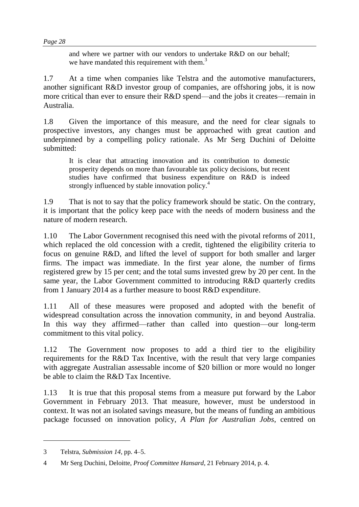and where we partner with our vendors to undertake R&D on our behalf; we have mandated this requirement with them.<sup>3</sup>

1.7 At a time when companies like Telstra and the automotive manufacturers, another significant R&D investor group of companies, are offshoring jobs, it is now more critical than ever to ensure their R&D spend—and the jobs it creates—remain in Australia.

1.8 Given the importance of this measure, and the need for clear signals to prospective investors, any changes must be approached with great caution and underpinned by a compelling policy rationale. As Mr Serg Duchini of Deloitte submitted:

It is clear that attracting innovation and its contribution to domestic prosperity depends on more than favourable tax policy decisions, but recent studies have confirmed that business expenditure on R&D is indeed strongly influenced by stable innovation policy.<sup>4</sup>

1.9 That is not to say that the policy framework should be static. On the contrary, it is important that the policy keep pace with the needs of modern business and the nature of modern research.

1.10 The Labor Government recognised this need with the pivotal reforms of 2011, which replaced the old concession with a credit, tightened the eligibility criteria to focus on genuine R&D, and lifted the level of support for both smaller and larger firms. The impact was immediate. In the first year alone, the number of firms registered grew by 15 per cent; and the total sums invested grew by 20 per cent. In the same year, the Labor Government committed to introducing R&D quarterly credits from 1 January 2014 as a further measure to boost R&D expenditure.

1.11 All of these measures were proposed and adopted with the benefit of widespread consultation across the innovation community, in and beyond Australia. In this way they affirmed—rather than called into question—our long-term commitment to this vital policy.

1.12 The Government now proposes to add a third tier to the eligibility requirements for the R&D Tax Incentive, with the result that very large companies with aggregate Australian assessable income of \$20 billion or more would no longer be able to claim the R&D Tax Incentive.

1.13 It is true that this proposal stems from a measure put forward by the Labor Government in February 2013. That measure, however, must be understood in context. It was not an isolated savings measure, but the means of funding an ambitious package focussed on innovation policy, *A Plan for Australian Jobs*, centred on

<sup>3</sup> Telstra, *Submission 14*, pp. 4–5.

<sup>4</sup> Mr Serg Duchini, Deloitte, *Proof Committee Hansard*, 21 February 2014, p. 4.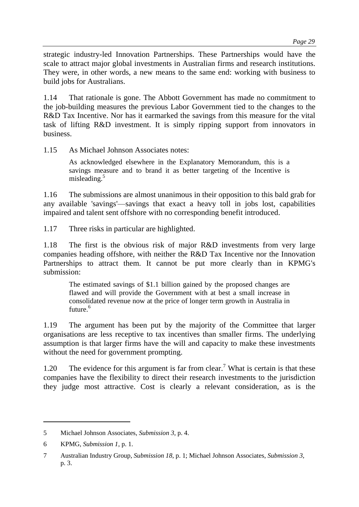strategic industry-led Innovation Partnerships. These Partnerships would have the scale to attract major global investments in Australian firms and research institutions. They were, in other words, a new means to the same end: working with business to build jobs for Australians.

1.14 That rationale is gone. The Abbott Government has made no commitment to the job-building measures the previous Labor Government tied to the changes to the R&D Tax Incentive. Nor has it earmarked the savings from this measure for the vital task of lifting R&D investment. It is simply ripping support from innovators in business.

1.15 As Michael Johnson Associates notes:

As acknowledged elsewhere in the Explanatory Memorandum, this is a savings measure and to brand it as better targeting of the Incentive is misleading. 5

1.16 The submissions are almost unanimous in their opposition to this bald grab for any available 'savings'—savings that exact a heavy toll in jobs lost, capabilities impaired and talent sent offshore with no corresponding benefit introduced.

1.17 Three risks in particular are highlighted.

1.18 The first is the obvious risk of major R&D investments from very large companies heading offshore, with neither the R&D Tax Incentive nor the Innovation Partnerships to attract them. It cannot be put more clearly than in KPMG's submission:

The estimated savings of \$1.1 billion gained by the proposed changes are flawed and will provide the Government with at best a small increase in consolidated revenue now at the price of longer term growth in Australia in future. 6

1.19 The argument has been put by the majority of the Committee that larger organisations are less receptive to tax incentives than smaller firms. The underlying assumption is that larger firms have the will and capacity to make these investments without the need for government prompting.

1.20 The evidence for this argument is far from clear.<sup>7</sup> What is certain is that these companies have the flexibility to direct their research investments to the jurisdiction they judge most attractive. Cost is clearly a relevant consideration, as is the

<sup>5</sup> Michael Johnson Associates, *Submission 3*, p. 4.

<sup>6</sup> KPMG, *Submission 1*, p. 1.

<sup>7</sup> Australian Industry Group, *Submission 18*, p. 1; Michael Johnson Associates, *Submission 3*, p. 3.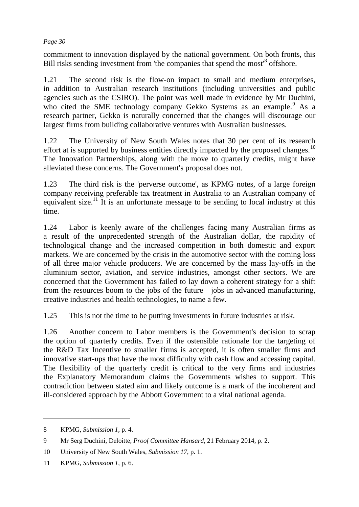commitment to innovation displayed by the national government. On both fronts, this Bill risks sending investment from 'the companies that spend the most'<sup>8</sup> offshore.

1.21 The second risk is the flow-on impact to small and medium enterprises, in addition to Australian research institutions (including universities and public agencies such as the CSIRO). The point was well made in evidence by Mr Duchini, who cited the SME technology company Gekko Systems as an example.<sup>9</sup> As a research partner, Gekko is naturally concerned that the changes will discourage our largest firms from building collaborative ventures with Australian businesses.

1.22 The University of New South Wales notes that 30 per cent of its research effort at is supported by business entities directly impacted by the proposed changes.<sup>10</sup> The Innovation Partnerships, along with the move to quarterly credits, might have alleviated these concerns. The Government's proposal does not.

1.23 The third risk is the 'perverse outcome', as KPMG notes, of a large foreign company receiving preferable tax treatment in Australia to an Australian company of equivalent size.<sup>11</sup> It is an unfortunate message to be sending to local industry at this time.

1.24 Labor is keenly aware of the challenges facing many Australian firms as a result of the unprecedented strength of the Australian dollar, the rapidity of technological change and the increased competition in both domestic and export markets. We are concerned by the crisis in the automotive sector with the coming loss of all three major vehicle producers. We are concerned by the mass lay-offs in the aluminium sector, aviation, and service industries, amongst other sectors. We are concerned that the Government has failed to lay down a coherent strategy for a shift from the resources boom to the jobs of the future—jobs in advanced manufacturing, creative industries and health technologies, to name a few.

1.25 This is not the time to be putting investments in future industries at risk.

1.26 Another concern to Labor members is the Government's decision to scrap the option of quarterly credits. Even if the ostensible rationale for the targeting of the R&D Tax Incentive to smaller firms is accepted, it is often smaller firms and innovative start-ups that have the most difficulty with cash flow and accessing capital. The flexibility of the quarterly credit is critical to the very firms and industries the Explanatory Memorandum claims the Governments wishes to support. This contradiction between stated aim and likely outcome is a mark of the incoherent and ill-considered approach by the Abbott Government to a vital national agenda.

<sup>8</sup> KPMG, *Submission 1*, p. 4.

<sup>9</sup> Mr Serg Duchini, Deloitte, *Proof Committee Hansard*, 21 February 2014, p. 2.

<sup>10</sup> University of New South Wales, *Submission 17*, p. 1.

<sup>11</sup> KPMG, *Submission 1*, p. 6.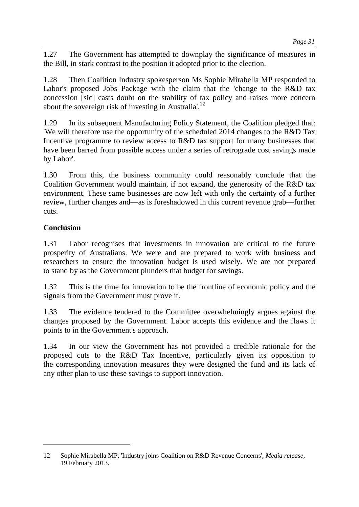1.27 The Government has attempted to downplay the significance of measures in the Bill, in stark contrast to the position it adopted prior to the election.

1.28 Then Coalition Industry spokesperson Ms Sophie Mirabella MP responded to Labor's proposed Jobs Package with the claim that the 'change to the R&D tax concession [sic] casts doubt on the stability of tax policy and raises more concern about the sovereign risk of investing in Australia'.<sup>12</sup>

1.29 In its subsequent Manufacturing Policy Statement, the Coalition pledged that: 'We will therefore use the opportunity of the scheduled 2014 changes to the R&D Tax Incentive programme to review access to R&D tax support for many businesses that have been barred from possible access under a series of retrograde cost savings made by Labor'.

1.30 From this, the business community could reasonably conclude that the Coalition Government would maintain, if not expand, the generosity of the R&D tax environment. These same businesses are now left with only the certainty of a further review, further changes and—as is foreshadowed in this current revenue grab—further cuts.

## **Conclusion**

 $\overline{a}$ 

1.31 Labor recognises that investments in innovation are critical to the future prosperity of Australians. We were and are prepared to work with business and researchers to ensure the innovation budget is used wisely. We are not prepared to stand by as the Government plunders that budget for savings.

1.32 This is the time for innovation to be the frontline of economic policy and the signals from the Government must prove it.

1.33 The evidence tendered to the Committee overwhelmingly argues against the changes proposed by the Government. Labor accepts this evidence and the flaws it points to in the Government's approach.

1.34 In our view the Government has not provided a credible rationale for the proposed cuts to the R&D Tax Incentive, particularly given its opposition to the corresponding innovation measures they were designed the fund and its lack of any other plan to use these savings to support innovation.

<sup>12</sup> Sophie Mirabella MP, 'Industry joins Coalition on R&D Revenue Concerns', *Media release*, 19 February 2013.